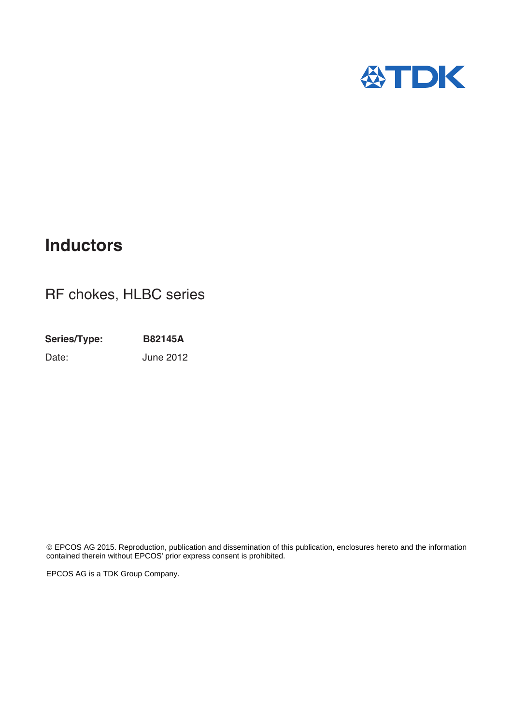

# **Inductors**

# RF chokes, HLBC series

**Series/Type: B82145A** Date: June 2012

 EPCOS AG 2015. Reproduction, publication and dissemination of this publication, enclosures hereto and the information contained therein without EPCOS' prior express consent is prohibited.

EPCOS AG is a TDK Group Company.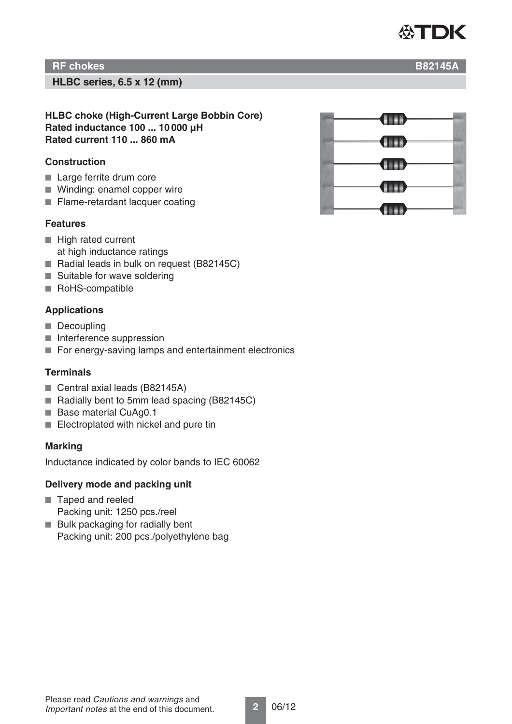

**HLBC series, 6.5 x 12 (mm)**

**HLBC choke (High-Current Large Bobbin Core) Rated inductance 100 ... 10 000 μH Rated current 110 ... 860 mA**

#### **Construction**

- Large ferrite drum core
- Winding: enamel copper wire
- Flame-retardant lacquer coating

#### **Features**

- High rated current at high inductance ratings
- Radial leads in bulk on request (B82145C)
- Suitable for wave soldering
- RoHS-compatible

### **Applications**

- Decoupling
- Interference suppression
- For energy-saving lamps and entertainment electronics

#### **Terminals**

- Central axial leads (B82145A)
- Radially bent to 5mm lead spacing (B82145C)
- Base material CuAg0.1
- Electroplated with nickel and pure tin

#### **Marking**

Inductance indicated by color bands to IEC 60062

#### **Delivery mode and packing unit**

- Taped and reeled Packing unit: 1250 pcs./reel
- Bulk packaging for radially bent
- Packing unit: 200 pcs./polyethylene bag

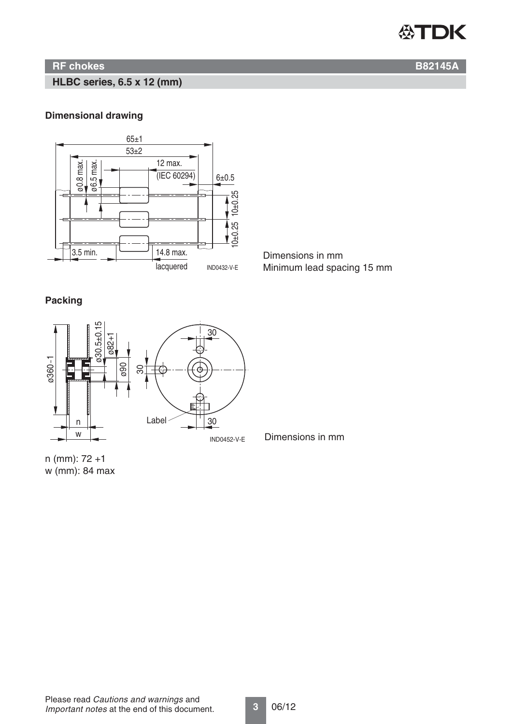

**HLBC series, 6.5 x 12 (mm)**

#### **Dimensional drawing**



Minimum lead spacing 15 mm

## **Packing**



Dimensions in mm

n (mm): 72 +1 w (mm): 84 max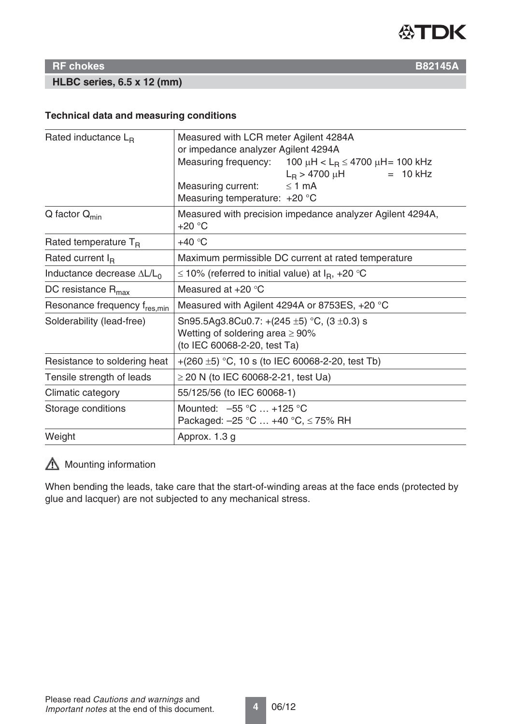

**HLBC series, 6.5 x 12 (mm)**

#### **Technical data and measuring conditions**

| Rated inductance $L_R$                   | Measured with LCR meter Agilent 4284A                                   |  |  |  |  |  |
|------------------------------------------|-------------------------------------------------------------------------|--|--|--|--|--|
|                                          | or impedance analyzer Agilent 4294A                                     |  |  |  |  |  |
|                                          | Measuring frequency:<br>100 μH < L <sub>R</sub> $\leq$ 4700 μH= 100 kHz |  |  |  |  |  |
|                                          | $L_{\rm B}$ > 4700 $\mu$ H<br>$= 10$ kHz                                |  |  |  |  |  |
|                                          | Measuring current:<br>$\leq$ 1 mA                                       |  |  |  |  |  |
|                                          | Measuring temperature: +20 °C                                           |  |  |  |  |  |
| $Q$ factor $Q_{min}$                     | Measured with precision impedance analyzer Agilent 4294A,<br>$+20 °C$   |  |  |  |  |  |
| Rated temperature $T_B$                  | $+40 °C$                                                                |  |  |  |  |  |
| Rated current $I_R$                      | Maximum permissible DC current at rated temperature                     |  |  |  |  |  |
| Inductance decrease $\Delta L/L_0$       | ≤ 10% (referred to initial value) at $IR$ , +20 °C                      |  |  |  |  |  |
| DC resistance $R_{\text{max}}$           | Measured at $+20$ °C                                                    |  |  |  |  |  |
| Resonance frequency f <sub>res.min</sub> | Measured with Agilent 4294A or 8753ES, +20 °C                           |  |  |  |  |  |
| Solderability (lead-free)                | Sn95.5Ag3.8Cu0.7: +(245 $\pm$ 5) °C, (3 $\pm$ 0.3) s                    |  |  |  |  |  |
|                                          | Wetting of soldering area $\geq 90\%$                                   |  |  |  |  |  |
|                                          | (to IEC 60068-2-20, test Ta)                                            |  |  |  |  |  |
| Resistance to soldering heat             | +(260 $\pm$ 5) °C, 10 s (to IEC 60068-2-20, test Tb)                    |  |  |  |  |  |
| Tensile strength of leads                | $\geq$ 20 N (to IEC 60068-2-21, test Ua)                                |  |  |  |  |  |
| Climatic category                        | 55/125/56 (to IEC 60068-1)                                              |  |  |  |  |  |
| Storage conditions                       | Mounted: $-55^{\circ}$ C  +125 °C                                       |  |  |  |  |  |
|                                          | Packaged: $-25$ °C  +40 °C, $\leq$ 75% RH                               |  |  |  |  |  |
| Weight                                   | Approx. 1.3 g                                                           |  |  |  |  |  |

# **Mounting information**

When bending the leads, take care that the start-of-winding areas at the face ends (protected by glue and lacquer) are not subjected to any mechanical stress.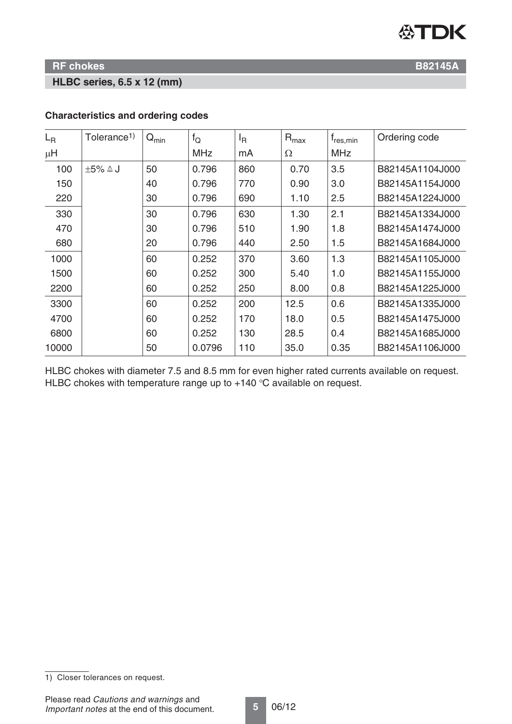

#### **HLBC series, 6.5 x 12 (mm)**

| $L_{\rm R}$ | Tolerance <sup>1)</sup> | $Q_{\text{min}}$ | $f_Q$      | ΙŖ  | $R_{\text{max}}$ | $f_{res,min}$ | Ordering code   |
|-------------|-------------------------|------------------|------------|-----|------------------|---------------|-----------------|
| $\mu$ H     |                         |                  | <b>MHz</b> | mA  | Ω                | <b>MHz</b>    |                 |
| 100         | $\pm 5\% \triangleq J$  | 50               | 0.796      | 860 | 0.70             | 3.5           | B82145A1104J000 |
| 150         |                         | 40               | 0.796      | 770 | 0.90             | 3.0           | B82145A1154J000 |
| 220         |                         | 30               | 0.796      | 690 | 1.10             | 2.5           | B82145A1224J000 |
| 330         |                         | 30               | 0.796      | 630 | 1.30             | 2.1           | B82145A1334J000 |
| 470         |                         | 30               | 0.796      | 510 | 1.90             | 1.8           | B82145A1474J000 |
| 680         |                         | 20               | 0.796      | 440 | 2.50             | 1.5           | B82145A1684J000 |
| 1000        |                         | 60               | 0.252      | 370 | 3.60             | 1.3           | B82145A1105J000 |
| 1500        |                         | 60               | 0.252      | 300 | 5.40             | 1.0           | B82145A1155J000 |
| 2200        |                         | 60               | 0.252      | 250 | 8.00             | 0.8           | B82145A1225J000 |
| 3300        |                         | 60               | 0.252      | 200 | 12.5             | 0.6           | B82145A1335J000 |
| 4700        |                         | 60               | 0.252      | 170 | 18.0             | 0.5           | B82145A1475J000 |
| 6800        |                         | 60               | 0.252      | 130 | 28.5             | 0.4           | B82145A1685J000 |
| 10000       |                         | 50               | 0.0796     | 110 | 35.0             | 0.35          | B82145A1106J000 |

# **Characteristics and ordering codes**

HLBC chokes with diameter 7.5 and 8.5 mm for even higher rated currents available on request. HLBC chokes with temperature range up to  $+140$  °C available on request.

<sup>1)</sup> Closer tolerances on request.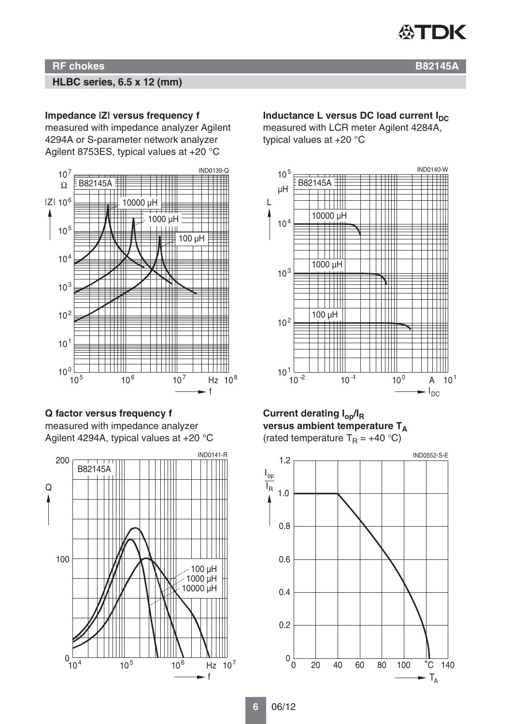

#### **HLBC series, 6.5 x 12 (mm)**

#### **Impedance |Z| versus frequency f**

measured with impedance analyzer Agilent 4294A or S-parameter network analyzer Agilent 8753ES, typical values at +20 °C



#### **Q factor versus frequency f** measured with impedance analyzer Agilent 4294A, typical values at +20 °C



#### **Inductance L versus DC load current I<sub>DC</sub>**

measured with LCR meter Agilent 4284A, typical values at +20 °C



#### **Current derating Iop/IR** versus ambient temperature T<sub>A</sub> (rated temperature  $T_R = +40 \degree C$ )

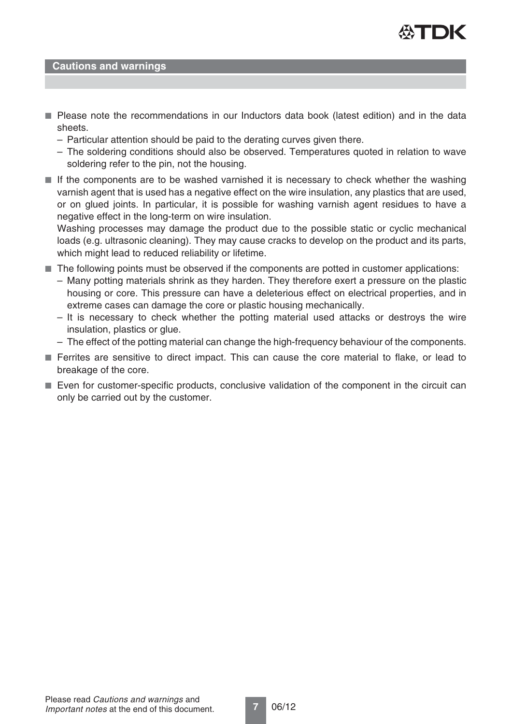

#### **Cautions and warnings**

- Please note the recommendations in our Inductors data book (latest edition) and in the data sheets.
	- Particular attention should be paid to the derating curves given there.
	- The soldering conditions should also be observed. Temperatures quoted in relation to wave soldering refer to the pin, not the housing.
- If the components are to be washed varnished it is necessary to check whether the washing varnish agent that is used has a negative effect on the wire insulation, any plastics that are used, or on glued joints. In particular, it is possible for washing varnish agent residues to have a negative effect in the long-term on wire insulation.

Washing processes may damage the product due to the possible static or cyclic mechanical loads (e.g. ultrasonic cleaning). They may cause cracks to develop on the product and its parts, which might lead to reduced reliability or lifetime.

- The following points must be observed if the components are potted in customer applications:
	- Many potting materials shrink as they harden. They therefore exert a pressure on the plastic housing or core. This pressure can have a deleterious effect on electrical properties, and in extreme cases can damage the core or plastic housing mechanically.
	- It is necessary to check whether the potting material used attacks or destroys the wire insulation, plastics or glue.
	- The effect of the potting material can change the high-frequency behaviour of the components.
- Ferrites are sensitive to direct impact. This can cause the core material to flake, or lead to breakage of the core.
- Even for customer-specific products, conclusive validation of the component in the circuit can only be carried out by the customer.